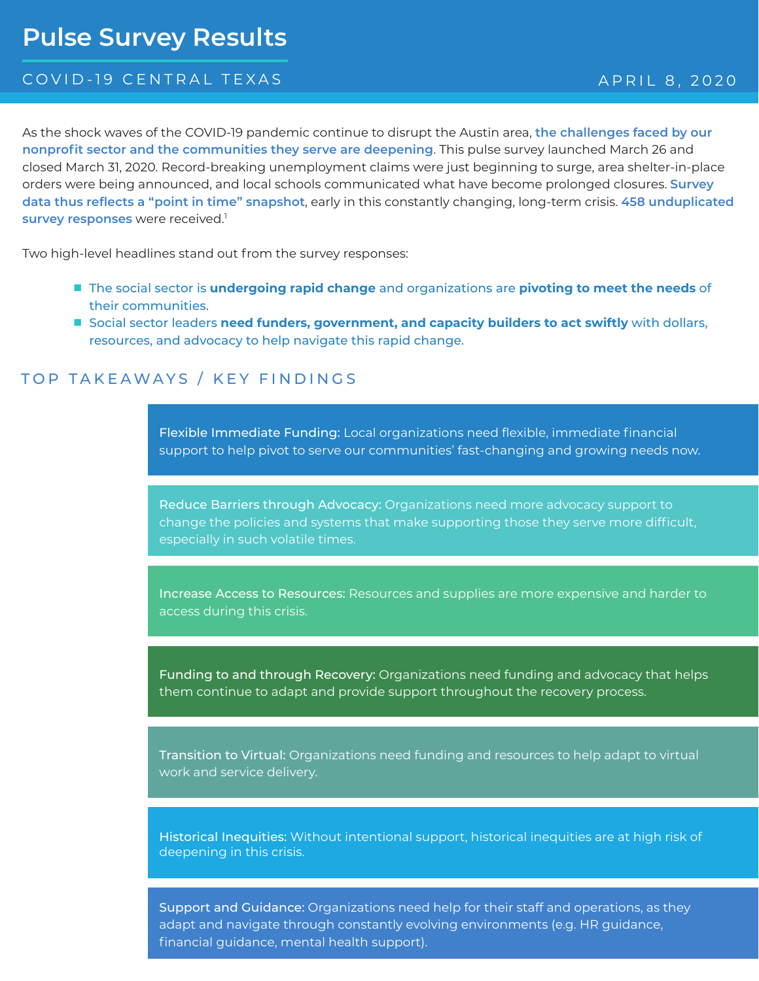# **Pulse Survey Results**

#### COVID-19 CENTRAL TEXAS APRIL 8, 2020

As the shock waves of the COVID-19 pandemic continue to disrupt the Austin area, **the challenges faced by our nonprofit sector and the communities they serve are deepening**. This pulse survey launched March 26 and closed March 31, 2020. Record-breaking unemployment claims were just beginning to surge, area shelter-in-place orders were being announced, and local schools communicated what have become prolonged closures. **Survey data thus reflects a "point in time" snapshot**, early in this constantly changing, long-term crisis. **458 unduplicated**  survey responses were received.<sup>1</sup>

Two high-level headlines stand out from the survey responses:

- The social sector is **undergoing rapid change** and organizations are **pivoting to meet the needs** of their communities.
- Social sector leaders **need funders, government, and capacity builders to act swiftly with dollars,** resources, and advocacy to help navigate this rapid change.

#### TOP TAKEAWAYS / KEY FINDINGS

Flexible Immediate Funding: Local organizations need flexible, immediate financial support to help pivot to serve our communities' fast-changing and growing needs now.

Reduce Barriers through Advocacy: Organizations need more advocacy support to change the policies and systems that make supporting those they serve more difficult, especially in such volatile times.

Increase Access to Resources: Resources and supplies are more expensive and harder to access during this crisis.

Funding to and through Recovery: Organizations need funding and advocacy that helps them continue to adapt and provide support throughout the recovery process.

Transition to Virtual: Organizations need funding and resources to help adapt to virtual work and service delivery.

Historical Inequities: Without intentional support, historical inequities are at high risk of deepening in this crisis.

Support and Guidance: Organizations need help for their staff and operations, as they adapt and navigate through constantly evolving environments (e.g. HR guidance, financial guidance, mental health support).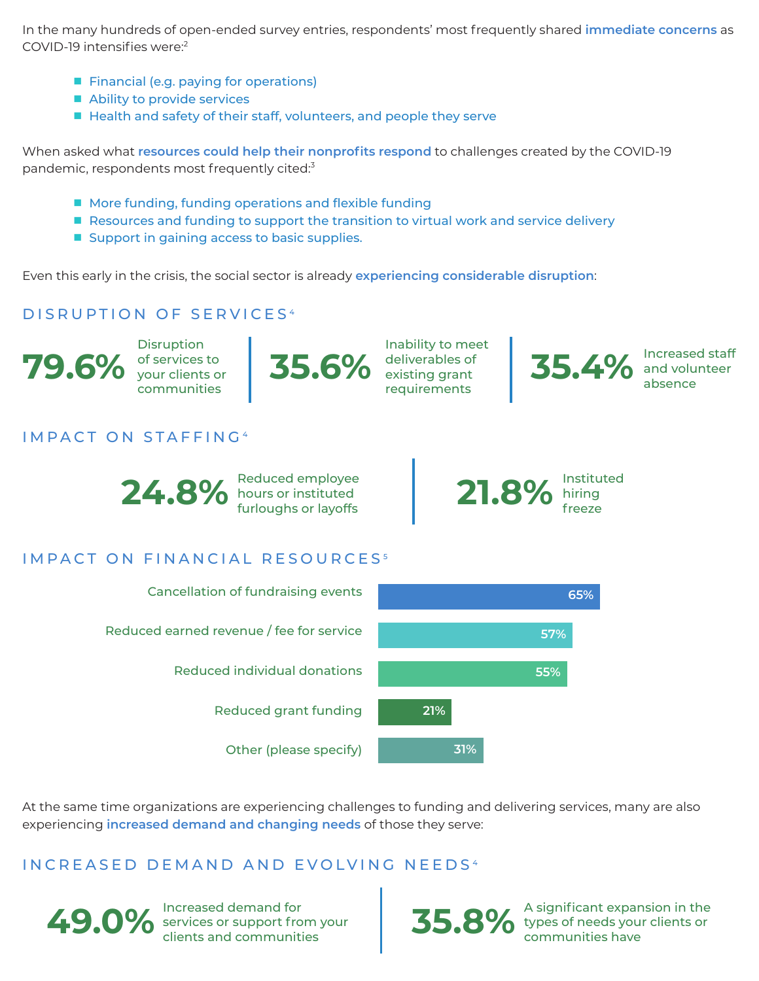In the many hundreds of open-ended survey entries, respondents' most frequently shared **immediate concerns** as COVID-19 intensifies were:<sup>2</sup>

- Financial (e.g. paying for operations)
- Ability to provide services
- Health and safety of their staff, volunteers, and people they serve

When asked what **resources could help their nonprofits respond** to challenges created by the COVID-19 pandemic, respondents most frequently cited:<sup>3</sup>

- More funding, funding operations and flexible funding
- Resources and funding to support the transition to virtual work and service delivery
- Support in gaining access to basic supplies.

Even this early in the crisis, the social sector is already **experiencing considerable disruption**:

## DISRUPTION OF SERVICES<sup>4</sup>

**79.6%** of services to Disruption your clients or communities

#### IMPACT ON STAFFING <sup>4</sup>



**35.6%** deliverables of Inability to meet existing grant requirements

**35.4%** and volunteer and volunteer absence

#### Reduced employee<br>hours or instituted<br>furloughs or layoffs **21.8%** hiring<br>freeze hiring freeze

#### IMPACT ON FINANCIAL RESOURCES<sup>5</sup>



At the same time organizations are experiencing challenges to funding and delivering services, many are also experiencing **increased demand and changing needs** of those they serve:

#### INCREASED DEMAND AND EVOLVING NEEDS<sup>4</sup>



**49.0%** Increased demand for<br>clients and communities services or support from your

Increased demand for **35.8%** A significant expansion in the services or support from your<br>clients and communities **35.8%** types of needs your clients or types of needs your clients or communities have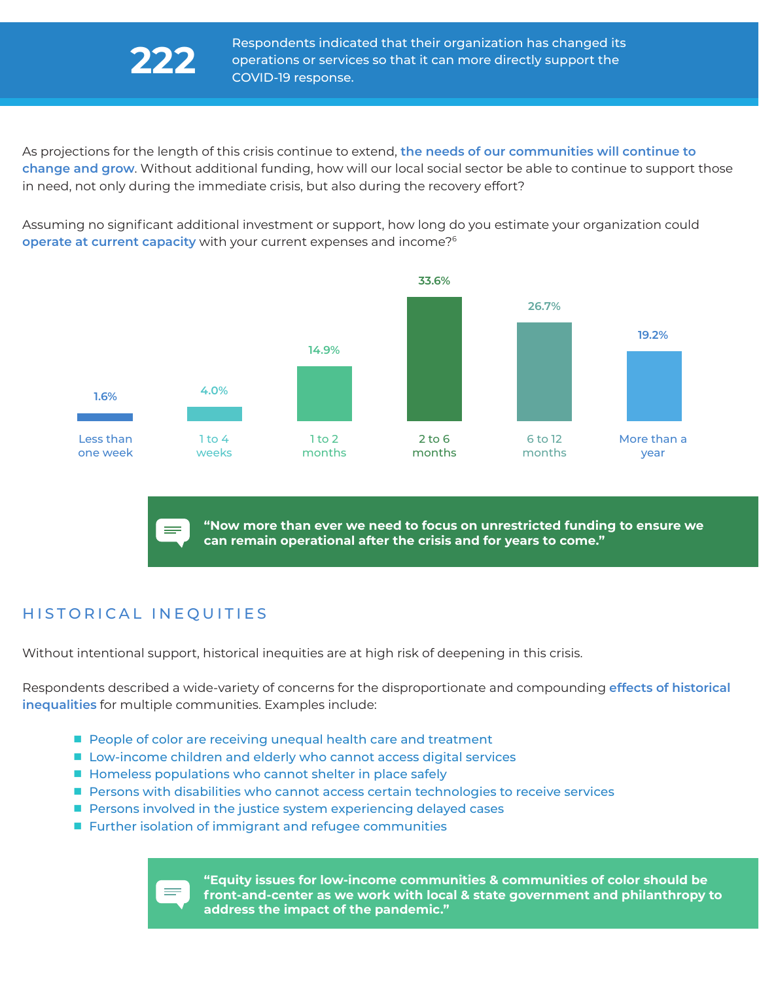As projections for the length of this crisis continue to extend, **the needs of our communities will continue to change and grow**. Without additional funding, how will our local social sector be able to continue to support those in need, not only during the immediate crisis, but also during the recovery effort?

Assuming no significant additional investment or support, how long do you estimate your organization could **operate at current capacity** with your current expenses and income?<sup>6</sup>



**"Now more than ever we need to focus on unrestricted funding to ensure we can remain operational after the crisis and for years to come."** 

### HISTORICAL INEQUITIES

÷

Without intentional support, historical inequities are at high risk of deepening in this crisis.

Respondents described a wide-variety of concerns for the disproportionate and compounding **effects of historical inequalities** for multiple communities. Examples include:

- People of color are receiving unequal health care and treatment
- Low-income children and elderly who cannot access digital services
- Homeless populations who cannot shelter in place safely
- Persons with disabilities who cannot access certain technologies to receive services
- Persons involved in the justice system experiencing delayed cases
- Further isolation of immigrant and refugee communities

**"Equity issues for low-income communities & communities of color should be front-and-center as we work with local & state government and philanthropy to address the impact of the pandemic."**